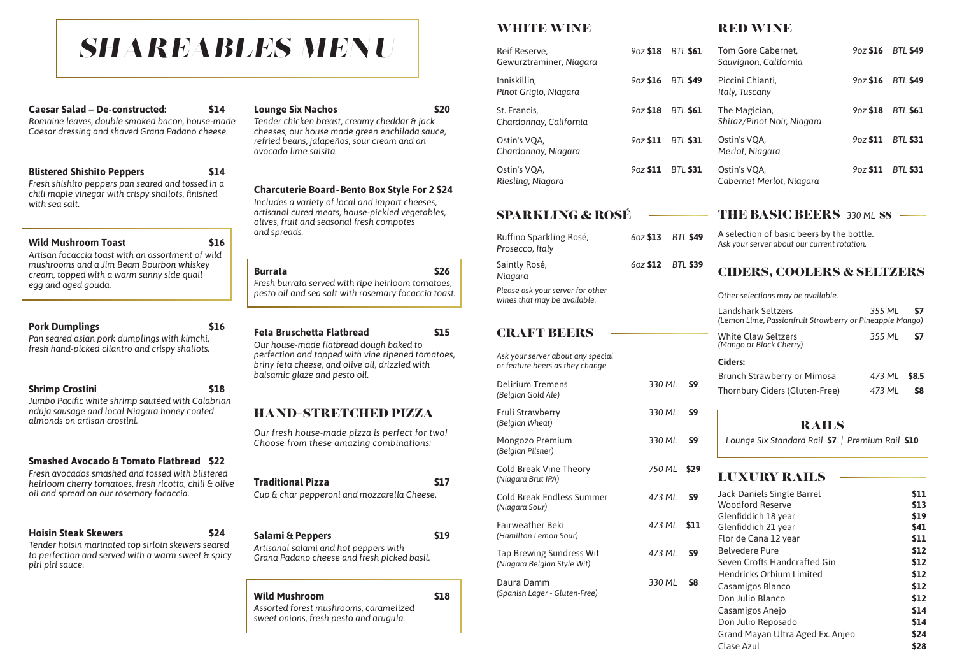# HAND–STRETCHED PIZZA

*Our fresh house-made pizza is perfect for two! Choose from these amazing combinations:*

#### **Traditional Pizza** \$17

*Cup & char pepperoni and mozzarella Cheese.*

#### **Salami & Peppers \$19**

*Artisanal salami and hot peppers with Grana Padano cheese and fresh picked basil.*

#### **Wild Mushroom \$18**

*Assorted forest mushrooms, caramelized sweet onions, fresh pesto and arugula.*

#### **Caesar Salad – De-constructed: \$14**

*Romaine leaves, double smoked bacon, house-made Caesar dressing and shaved Grana Padano cheese.*

#### **Blistered Shishito Peppers \$14**

*Fresh shishito peppers pan seared and tossed in a chili maple vinegar with crispy shallots, finished with sea salt.*

### Wild Mushroom Toast **\$16**

*Artisan focaccia toast with an assortment of wild mushrooms and a Jim Beam Bourbon whiskey cream, topped with a warm sunny side quail egg and aged gouda.*

#### **Pork Dumplings \$16**

*Pan seared asian pork dumplings with kimchi, fresh hand-picked cilantro and crispy shallots.*

### **Shrimp Crostini \$18**

*Jumbo Pacific white shrimp sautéed with Calabrian nduja sausage and local Niagara honey coated almonds on artisan crostini.* 

### **Smashed Avocado & Tomato Flatbread \$22**

*Fresh avocados smashed and tossed with blistered heirloom cherry tomatoes, fresh ricotta, chili & olive oil and spread on our rosemary focaccia.*

#### **Hoisin Steak Skewers \$24**

*Tender hoisin marinated top sirloin skewers seared to perfection and served with a warm sweet & spicy piri piri sauce.*

### **Lounge Six Nachos \$20**

*Tender chicken breast, creamy cheddar & jack cheeses, our house made green enchilada sauce, refried beans, jalapeños, sour cream and an avocado lime salsita.*

#### **Charcuterie Board - Bento Box Style For 2 \$24**

*Includes a variety of local and import cheeses, artisanal cured meats, house-pickled vegetables, olives, fruit and seasonal fresh compotes and spreads.*

#### **Burrata \$26**

*Fresh burrata served with ripe heirloom tomatoes, pesto oil and sea salt with rosemary focaccia toast.*

#### **Feta Bruschetta Flatbread \$15**

*Our house-made flatbread dough baked to perfection and topped with vine ripened tomatoes, briny feta cheese, and olive oil, drizzled with balsamic glaze and pesto oil.*

| WHITE WINE |
|------------|
|------------|

### SPARKLING & ROSÉ

| Ruffino Sparkling Rosé,<br>Prosecco, Italy                       |                   | 602 \$13 BTL \$49 |
|------------------------------------------------------------------|-------------------|-------------------|
| Saintly Rosé,<br>Niagara                                         | 60z \$12 BTL \$39 |                   |
| Please ask your server for other<br>wines that may be available. |                   |                   |

#### THE BASIC BEERS 330 ML **\$8**

*Ask your server about any special*

| Reif Reserve,<br>Gewurztraminer, Niagara | 9oz \$18    | <b>BTL \$61</b> | Tom Gore Cabernet,<br>Sauvignon, California | $9$ oz \$16           | <b>BTL \$49</b> |
|------------------------------------------|-------------|-----------------|---------------------------------------------|-----------------------|-----------------|
| Inniskillin,<br>Pinot Grigio, Niagara    | 9oz \$16    | <b>BTL \$49</b> | Piccini Chianti,<br>Italy, Tuscany          | 9oz \$16              | <b>BTL \$49</b> |
| St. Francis,<br>Chardonnay, California   | $9$ oz \$18 | <b>BTL \$61</b> | The Magician,<br>Shiraz/Pinot Noir, Niagara | $9$ oz \$18           | <b>BTL \$61</b> |
| Ostin's VQA,<br>Chardonnay, Niagara      | 90z \$11    | <b>BTL \$31</b> | Ostin's VQA,<br>Merlot, Niagara             | 9 <sub>0</sub> z \$11 | <b>BTL \$31</b> |
| Ostin's VQA,<br>Riesling, Niagara        | 90z \$11    | <b>BTL \$31</b> | Ostin's VQA,<br>Cabernet Merlot, Niagara    | 9 <sub>0</sub> z \$11 | <b>BTL \$31</b> |

| or feature beers as they change.                               |        |            |
|----------------------------------------------------------------|--------|------------|
| <b>Delirium Tremens</b><br>(Belgian Gold Ale)                  | 330 ML | \$9        |
| <b>Fruli Strawberry</b><br>(Belgian Wheat)                     | 330 ML | \$9        |
| Mongozo Premium<br>(Belgian Pilsner)                           | 330 ML | \$9        |
| <b>Cold Break Vine Theory</b><br>(Niagara Brut IPA)            | 750 ML | \$29       |
| <b>Cold Break Endless Summer</b><br>(Niagara Sour)             | 473 ML | \$9        |
| <b>Fairweather Beki</b><br>(Hamilton Lemon Sour)               | 473 ML | <b>S11</b> |
| <b>Tap Brewing Sundress Wit</b><br>(Niagara Belgian Style Wit) | 473 ML | \$9        |
| Daura Damm<br>(Spanish Lager - Gluten-Free)                    | 330 ML | <b>S8</b>  |
|                                                                |        |            |

#### RED WINE

A selection of basic beers by the bottle. *Ask your server about our current rotation.*

### CIDERS, COOLERS & SELTZERS

*Other selections may be available.*

| Landshark Seltzers                                       | 355 ML <b>S7</b> |           |
|----------------------------------------------------------|------------------|-----------|
| (Lemon Lime, Passionfruit Strawberry or Pineapple Mango) |                  |           |
| <b>White Claw Seltzers</b>                               | 355 ML           | <b>S7</b> |

| CRATT BUDRS |  |  |
|-------------|--|--|
|             |  |  |

A TYPE TYPE AT

*(Mango or Black Cherry)*

#### **Ciders:**

| <b>Brunch Strawberry or Mimosa</b> | 473 ML \$8.5     |  |
|------------------------------------|------------------|--|
| Thornbury Ciders (Gluten-Free)     | 473 ML <b>S8</b> |  |

### RAILS

*Lounge Six Standard Rail* **\$7** *| Premium Rail* **\$10**

# LUXURY RAILS

| <b>Jack Daniels Single Barrel</b> | \$11        |
|-----------------------------------|-------------|
| <b>Woodford Reserve</b>           | \$13        |
| Glenfiddich 18 year               | \$19        |
| Glenfiddich 21 year               | <b>S41</b>  |
| Flor de Cana 12 year              | \$11        |
| Belvedere Pure                    | <b>\$12</b> |
| Seven Crofts Handcrafted Gin      | \$12        |
| <b>Hendricks Orbium Limited</b>   | \$12        |
| Casamigos Blanco                  | <b>S12</b>  |
| Don Julio Blanco                  | <b>S12</b>  |
| Casamigos Anejo                   | \$14        |
| Don Julio Reposado                | \$14        |
| Grand Mayan Ultra Aged Ex. Anjeo  | \$24        |
| <b>Clase Azul</b>                 | <b>\$28</b> |

# *SHAREABLES MENU*